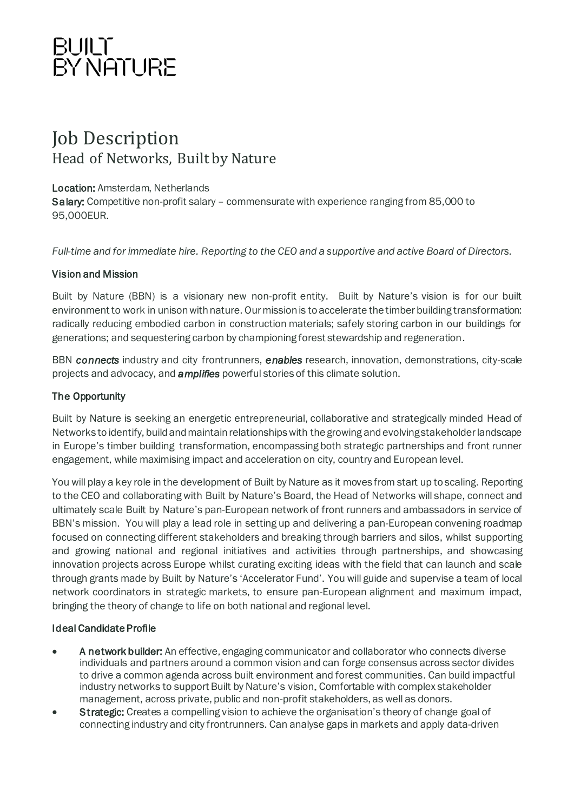### BUILT<br>BY NATURE

### Job Description Head of Networks, Built by Nature

#### Location: Amsterdam, Netherlands

Salary: Competitive non-profit salary – commensurate with experience ranging from 85,000 to 95,000EUR.

*Full-time and for immediate hire. Reporting to the CEO and a supportive and active Board of Directors.*

#### Vision and Mission

Built by Nature (BBN) is a visionary new non-profit entity. Built by Nature's vision is for our built environment to work in unison with nature. Our mission is to accelerate the timber building transformation: radically reducing embodied carbon in construction materials; safely storing carbon in our buildings for generations; and sequestering carbon by championing forest stewardship and regeneration.

BBN *connects* industry and city frontrunners, *enables* research, innovation, demonstrations, city-scale projects and advocacy, and *amplifies* powerful stories of this climate solution.

#### The Opportunity

Built by Nature is seeking an energetic entrepreneurial, collaborative and strategically minded Head of Networks to identify, build and maintain relationships with the growing and evolving stakeholder landscape in Europe's timber building transformation, encompassing both strategic partnerships and front runner engagement, while maximising impact and acceleration on city, country and European level.

You will play a key role in the development of Built by Nature as it moves from start up to scaling. Reporting to the CEO and collaborating with Built by Nature's Board, the Head of Networks will shape, connect and ultimately scale Built by Nature's pan-European network of front runners and ambassadors in service of BBN's mission. You will play a lead role in setting up and delivering a pan-European convening roadmap focused on connecting different stakeholders and breaking through barriers and silos, whilst supporting and growing national and regional initiatives and activities through partnerships, and showcasing innovation projects across Europe whilst curating exciting ideas with the field that can launch and scale through grants made by Built by Nature's 'Accelerator Fund'. You will guide and supervise a team of local network coordinators in strategic markets, to ensure pan-European alignment and maximum impact, bringing the theory of change to life on both national and regional level.

#### Ideal Candidate Profile

- A network builder: An effective, engaging communicator and collaborator who connects diverse individuals and partners around a common vision and can forge consensus across sector divides to drive a common agenda across built environment and forest communities. Can build impactful industry networks to support Built by Nature's vision. Comfortable with complex stakeholder management, across private, public and non-profit stakeholders, as well as donors.
- **Strategic:** Creates a compelling vision to achieve the organisation's theory of change goal of connecting industry and city frontrunners. Can analyse gaps in markets and apply data-driven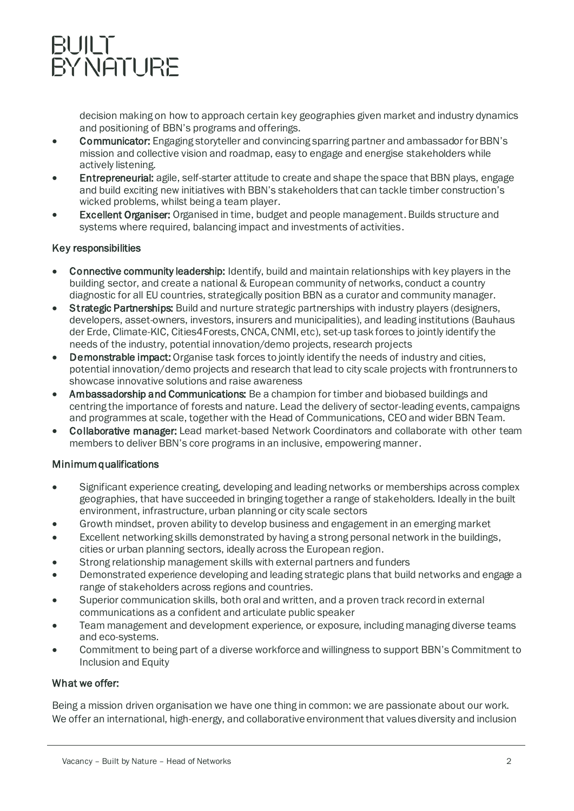## BUILT<br>BYNATURE

decision making on how to approach certain key geographies given market and industry dynamics and positioning of BBN's programs and offerings.

- Communicator: Engaging storyteller and convincing sparring partner and ambassador for BBN's mission and collective vision and roadmap, easy to engage and energise stakeholders while actively listening.
- Entrepreneurial: agile, self-starter attitude to create and shape the space that BBN plays, engage and build exciting new initiatives with BBN's stakeholders that can tackle timber construction's wicked problems, whilst being a team player.
- **Excellent Organiser:** Organised in time, budget and people management. Builds structure and systems where required, balancing impact and investments of activities.

#### Key responsibilities

- Connective community leadership: Identify, build and maintain relationships with key players in the building sector, and create a national & European community of networks, conduct a country diagnostic for all EU countries, strategically position BBN as a curator and community manager.
- **Strategic Partnerships:** Build and nurture strategic partnerships with industry players (designers, developers, asset-owners, investors, insurers and municipalities), and leading institutions (Bauhaus der Erde, Climate-KIC, Cities4Forests, CNCA, CNMI, etc), set-up task forces to jointly identify the needs of the industry, potential innovation/demo projects, research projects
- Demonstrable impact: Organise task forces to jointly identify the needs of industry and cities, potential innovation/demo projects and research that lead to city scale projects with frontrunners to showcase innovative solutions and raise awareness
- Ambassadorship and Communications: Be a champion for timber and biobased buildings and centring the importance of forests and nature. Lead the delivery of sector-leading events, campaigns and programmes at scale, together with the Head of Communications, CEO and wider BBN Team.
- Collaborative manager: Lead market-based Network Coordinators and collaborate with other team members to deliver BBN's core programs in an inclusive, empowering manner.

#### Minimum qualifications

- Significant experience creating, developing and leading networks or memberships across complex geographies, that have succeeded in bringing together a range of stakeholders. Ideally in the built environment, infrastructure, urban planning or city scale sectors
- Growth mindset, proven ability to develop business and engagement in an emerging market
- Excellent networking skills demonstrated by having a strong personal network in the buildings, cities or urban planning sectors, ideally across the European region.
- Strong relationship management skills with external partners and funders
- Demonstrated experience developing and leading strategic plans that build networks and engage a range of stakeholders across regions and countries.
- Superior communication skills, both oral and written, and a proven track record in external communications as a confident and articulate public speaker
- Team management and development experience, or exposure, including managing diverse teams and eco-systems.
- Commitment to being part of a diverse workforce and willingness to support BBN's Commitment to Inclusion and Equity

#### What we offer:

Being a mission driven organisation we have one thing in common: we are passionate about our work. We offer an international, high-energy, and collaborative environment that values diversity and inclusion